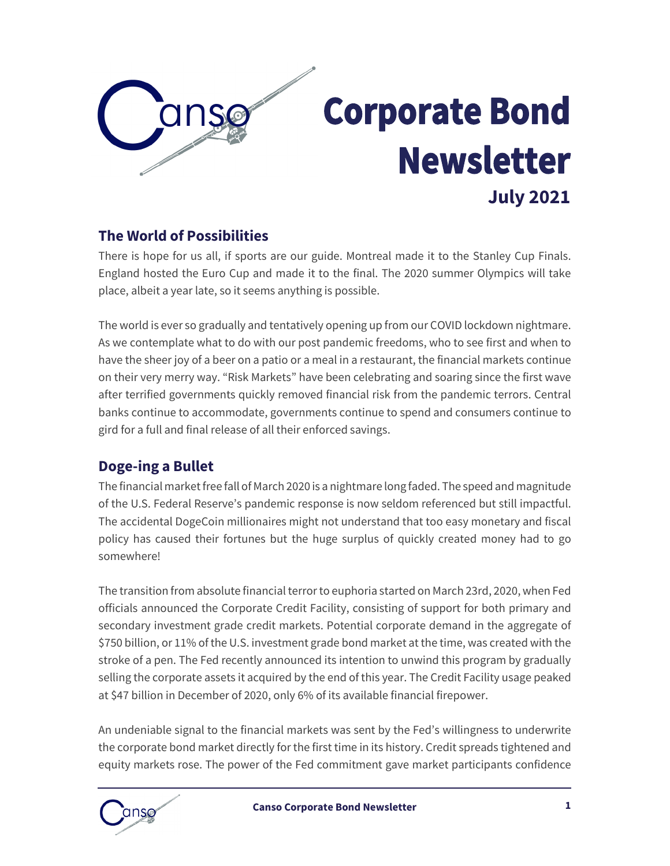

## **Corporate Bond Newsletter July 2021**

#### **The World of Possibilities**

There is hope for us all, if sports are our guide. Montreal made it to the Stanley Cup Finals. England hosted the Euro Cup and made it to the final. The 2020 summer Olympics will take place, albeit a year late, so it seems anything is possible.

The world is ever so gradually and tentatively opening up from our COVID lockdown nightmare. As we contemplate what to do with our post pandemic freedoms, who to see first and when to have the sheer joy of a beer on a patio or a meal in a restaurant, the financial markets continue on their very merry way. "Risk Markets" have been celebrating and soaring since the first wave after terrified governments quickly removed financial risk from the pandemic terrors. Central banks continue to accommodate, governments continue to spend and consumers continue to gird for a full and final release of all their enforced savings.

#### **Doge-ing a Bullet**

The financial market free fall of March 2020 is a nightmare long faded. The speed and magnitude of the U.S. Federal Reserve's pandemic response is now seldom referenced but still impactful. The accidental DogeCoin millionaires might not understand that too easy monetary and fiscal policy has caused their fortunes but the huge surplus of quickly created money had to go somewhere!

The transition from absolute financial terror to euphoria started on March 23rd, 2020, when Fed officials announced the Corporate Credit Facility, consisting of support for both primary and secondary investment grade credit markets. Potential corporate demand in the aggregate of \$750 billion, or 11% of the U.S. investment grade bond market at the time, was created with the stroke of a pen. The Fed recently announced its intention to unwind this program by gradually selling the corporate assets it acquired by the end of this year. The Credit Facility usage peaked at \$47 billion in December of 2020, only 6% of its available financial firepower.

An undeniable signal to the financial markets was sent by the Fed's willingness to underwrite the corporate bond market directly for the first time in its history. Credit spreads tightened and equity markets rose. The power of the Fed commitment gave market participants confidence

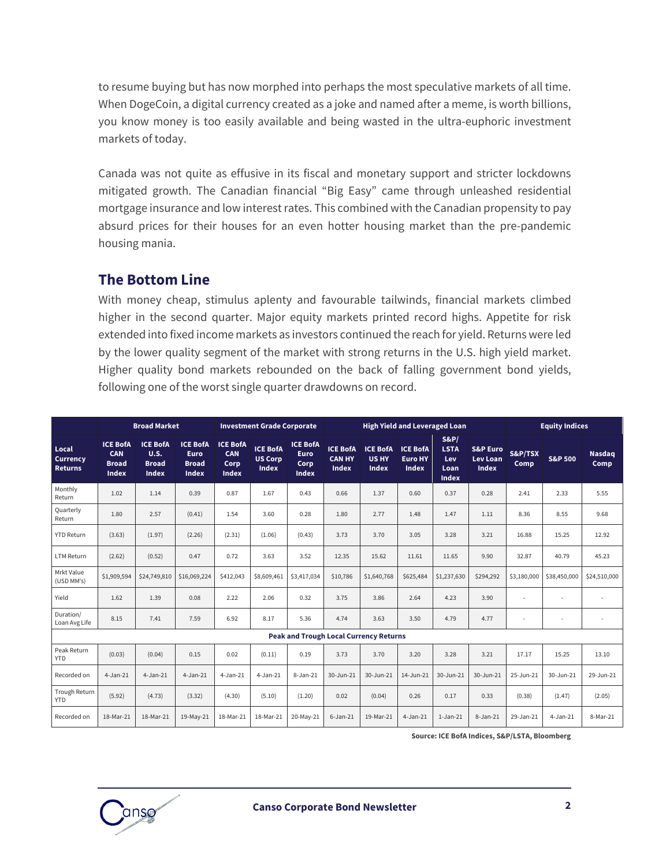to resume buying but has now morphed into perhaps the most speculative markets of all time. When DogeCoin, a digital currency created as a joke and named after a meme, is worth billions, you know money is too easily available and being wasted in the ultra-euphoric investment markets of today.

Canada was not quite as effusive in its fiscal and monetary support and stricter lockdowns mitigated growth. The Canadian financial "Big Easy" came through unleashed residential mortgage insurance and low interest rates. This combined with the Canadian propensity to pay absurd prices for their houses for an even hotter housing market than the pre-pandemic housing mania.

#### **The Bottom Line**

With money cheap, stimulus aplenty and favourable tailwinds, financial markets climbed higher in the second quarter. Major equity markets printed record highs. Appetite for risk extended into fixed income markets as investors continued the reach for yield. Returns were led by the lower quality segment of the market with strong returns in the U.S. high yield market. Higher quality bond markets rebounded on the back of falling government bond yields, following one of the worst single quarter drawdowns on record.

|                                               |                                                               | <b>Broad Market</b>                              |                                                                |                                                       | <b>Investment Grade Corporate</b>                 |                                                        |                                                  |                                   |                                                   | <b>High Yield and Leveraged Loan</b>              |                                                        |                 | <b>Equity Indices</b> |                       |
|-----------------------------------------------|---------------------------------------------------------------|--------------------------------------------------|----------------------------------------------------------------|-------------------------------------------------------|---------------------------------------------------|--------------------------------------------------------|--------------------------------------------------|-----------------------------------|---------------------------------------------------|---------------------------------------------------|--------------------------------------------------------|-----------------|-----------------------|-----------------------|
| Local<br><b>Currency</b><br><b>Returns</b>    | <b>ICE BofA</b><br><b>CAN</b><br><b>Broad</b><br><b>Index</b> | <b>ICE BofA</b><br>U.S.<br><b>Broad</b><br>Index | <b>ICE BofA</b><br><b>Euro</b><br><b>Broad</b><br><b>Index</b> | <b>ICE BofA</b><br><b>CAN</b><br>Corp<br><b>Index</b> | <b>ICE BofA</b><br><b>US Corp</b><br><b>Index</b> | <b>ICE BofA</b><br><b>Euro</b><br>Corp<br><b>Index</b> | <b>ICE BofA</b><br><b>CAN HY</b><br><b>Index</b> | <b>ICE BofA</b><br>US HY<br>Index | <b>ICE BofA</b><br><b>Euro HY</b><br><b>Index</b> | S&P<br><b>LSTA</b><br>Lev<br>Loan<br><b>Index</b> | <b>S&amp;P</b> Euro<br><b>Lev Loan</b><br><b>Index</b> | S&P/TSX<br>Comp | <b>S&amp;P 500</b>    | <b>Nasdaq</b><br>Comp |
| Monthly<br>Return                             | 1.02                                                          | 1.14                                             | 0.39                                                           | 0.87                                                  | 1.67                                              | 0.43                                                   | 0.66                                             | 1.37                              | 0.60                                              | 0.37                                              | 0.28                                                   | 2.41            | 2.33                  | 5.55                  |
| Quarterly<br>Return                           | 1.80                                                          | 2.57                                             | (0.41)                                                         | 1.54                                                  | 3.60                                              | 0.28                                                   | 1.80                                             | 2.77                              | 1.48                                              | 1.47                                              | 1.11                                                   | 8.36            | 8.55                  | 9.68                  |
| <b>YTD Return</b>                             | (3.63)                                                        | (1.97)                                           | (2.26)                                                         | (2.31)                                                | (1.06)                                            | (0.43)                                                 | 3.73                                             | 3.70                              | 3.05                                              | 3.28                                              | 3.21                                                   | 16.88           | 15.25                 | 12.92                 |
| <b>LTM Return</b>                             | (2.62)                                                        | (0.52)                                           | 0.47                                                           | 0.72                                                  | 3.63                                              | 3.52                                                   | 12.35                                            | 15.62                             | 11.61                                             | 11.65                                             | 9.90                                                   | 32.87           | 40.79                 | 45.23                 |
| Mrkt Value<br>(USD MM's)                      | \$1,909,594                                                   | \$24,749,810                                     | \$16,069,224                                                   | \$412,043                                             | \$8,609,461                                       | \$3,417,034                                            | \$10,786                                         | \$1,640,768                       | \$625,484                                         | \$1,237,630                                       | \$294,292                                              | \$3,180,000     | \$38,450,000          | \$24,510,000          |
| Yield                                         | 1.62                                                          | 1.39                                             | 0.08                                                           | 2.22                                                  | 2.06                                              | 0.32                                                   | 3.75                                             | 3.86                              | 2.64                                              | 4.23                                              | 3.90                                                   | ٠               | ٠                     |                       |
| Duration/<br>Loan Avg Life                    | 8.15                                                          | 7.41                                             | 7.59                                                           | 6.92                                                  | 8.17                                              | 5.36                                                   | 4.74                                             | 3.63                              | 3.50                                              | 4.79                                              | 4.77                                                   |                 |                       |                       |
| <b>Peak and Trough Local Currency Returns</b> |                                                               |                                                  |                                                                |                                                       |                                                   |                                                        |                                                  |                                   |                                                   |                                                   |                                                        |                 |                       |                       |
| Peak Return<br><b>YTD</b>                     | (0.03)                                                        | (0.04)                                           | 0.15                                                           | 0.02                                                  | (0.11)                                            | 0.19                                                   | 3.73                                             | 3.70                              | 3.20                                              | 3.28                                              | 3.21                                                   | 17.17           | 15.25                 | 13.10                 |
| Recorded on                                   | $4 - Jan-21$                                                  | $4 - Jan-21$                                     | $4 - Jan-21$                                                   | $4 - Jan-21$                                          | $4 - Jan-21$                                      | $8 - Jan-21$                                           | 30-Jun-21                                        | 30-Jun-21                         | 14-Jun-21                                         | 30-Jun-21                                         | 30-Jun-21                                              | 25-Jun-21       | 30-Jun-21             | 29-Jun-21             |
| Trough Return<br><b>YTD</b>                   | (5.92)                                                        | (4.73)                                           | (3.32)                                                         | (4.30)                                                | (5.10)                                            | (1.20)                                                 | 0.02                                             | (0.04)                            | 0.26                                              | 0.17                                              | 0.33                                                   | (0.38)          | (1.47)                | (2.05)                |
| Recorded on                                   | 18-Mar-21                                                     | 18-Mar-21                                        | 19-May-21                                                      | 18-Mar-21                                             | 18-Mar-21                                         | 20-May-21                                              | $6 - Jan-21$                                     | 19-Mar-21                         | $4 - Jan-21$                                      | $1-Jan-21$                                        | 8-Jan-21                                               | 29-Jan-21       | $4 - Jan-21$          | 8-Mar-21              |

**Source: ICE BofA Indices, S&P/LSTA, Bloomberg**

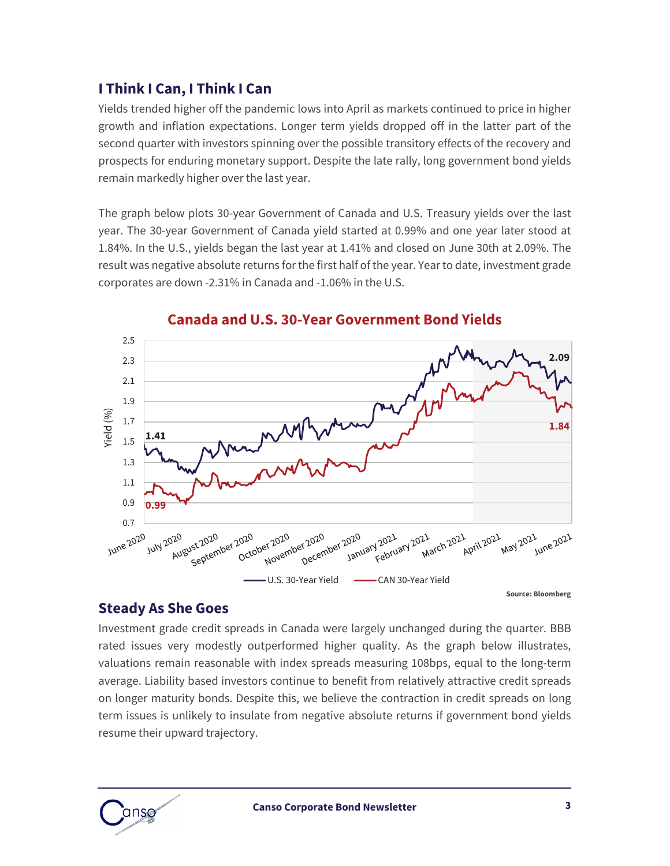#### **I Think I Can, I Think I Can**

Yields trended higher off the pandemic lows into April as markets continued to price in higher growth and inflation expectations. Longer term yields dropped off in the latter part of the second quarter with investors spinning over the possible transitory effects of the recovery and prospects for enduring monetary support. Despite the late rally, long government bond yields remain markedly higher over the last year.

The graph below plots 30-year Government of Canada and U.S. Treasury yields over the last year. The 30-year Government of Canada yield started at 0.99% and one year later stood at 1.84%. In the U.S., yields began the last year at 1.41% and closed on June 30th at 2.09%. The result was negative absolute returns for the first half of the year. Year to date, investment grade corporates are down -2.31% in Canada and -1.06% in the U.S.



#### **Canada and U.S. 30-Year Government Bond Yields**

#### **Steady As She Goes**

Investment grade credit spreads in Canada were largely unchanged during the quarter. BBB rated issues very modestly outperformed higher quality. As the graph below illustrates, valuations remain reasonable with index spreads measuring 108bps, equal to the long-term average. Liability based investors continue to benefit from relatively attractive credit spreads on longer maturity bonds. Despite this, we believe the contraction in credit spreads on long term issues is unlikely to insulate from negative absolute returns if government bond yields resume their upward trajectory.

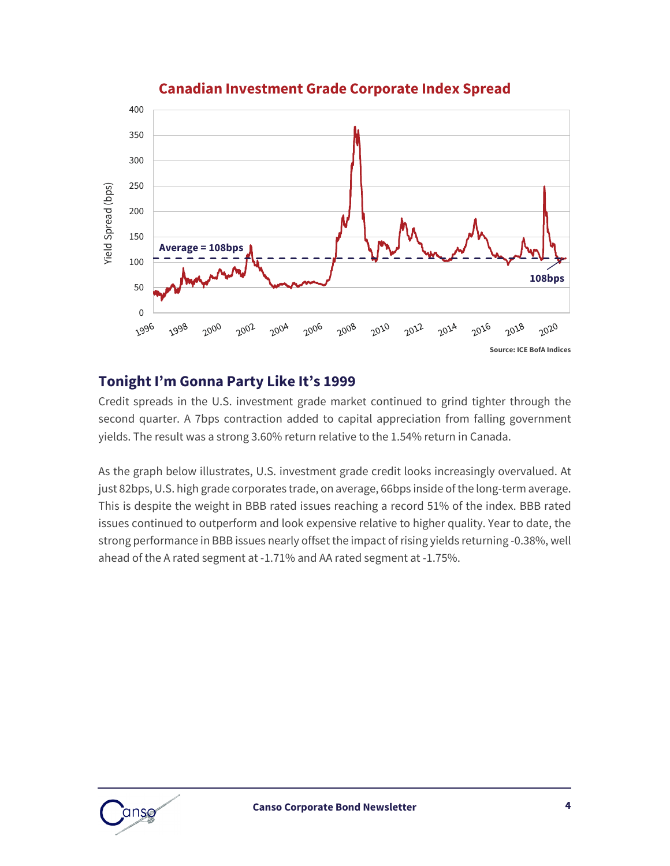

#### **Canadian Investment Grade Corporate Index Spread**

#### **Tonight I'm Gonna Party Like It's 1999**

Credit spreads in the U.S. investment grade market continued to grind tighter through the second quarter. A 7bps contraction added to capital appreciation from falling government yields. The result was a strong 3.60% return relative to the 1.54% return in Canada.

As the graph below illustrates, U.S. investment grade credit looks increasingly overvalued. At just 82bps, U.S. high grade corporates trade, on average, 66bps inside of the long-term average. This is despite the weight in BBB rated issues reaching a record 51% of the index. BBB rated issues continued to outperform and look expensive relative to higher quality. Year to date, the strong performance in BBB issues nearly offset the impact of rising yields returning -0.38%, well ahead of the A rated segment at -1.71% and AA rated segment at -1.75%.

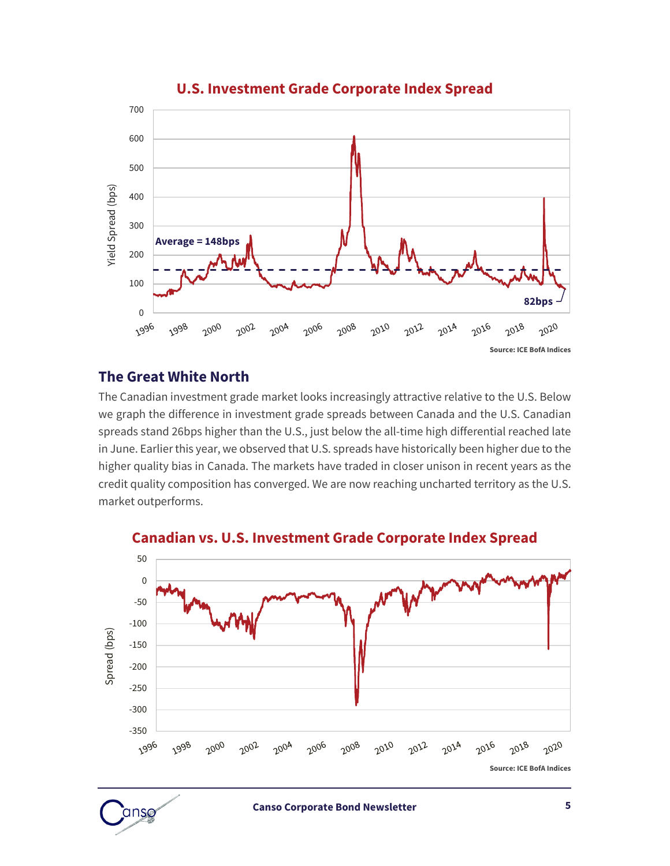

#### **U.S. Investment Grade Corporate Index Spread**

#### **The Great White North**

The Canadian investment grade market looks increasingly attractive relative to the U.S. Below we graph the difference in investment grade spreads between Canada and the U.S. Canadian spreads stand 26bps higher than the U.S., just below the all-time high differential reached late in June. Earlier this year, we observed that U.S. spreads have historically been higher due to the higher quality bias in Canada. The markets have traded in closer unison in recent years as the credit quality composition has converged. We are now reaching uncharted territory as the U.S. market outperforms.



**Canadian vs. U.S. Investment Grade Corporate Index Spread**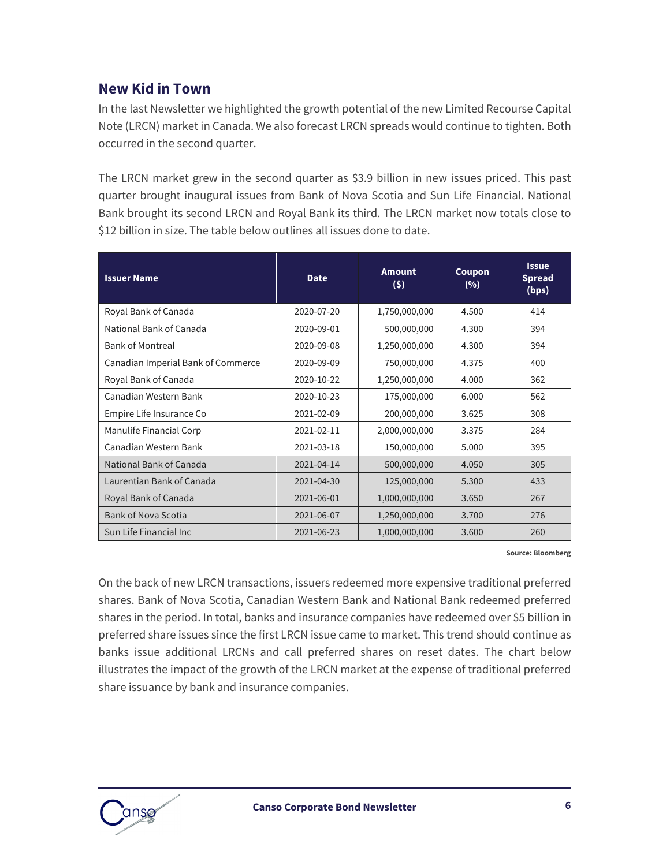#### **New Kid in Town**

In the last Newsletter we highlighted the growth potential of the new Limited Recourse Capital Note (LRCN) market in Canada. We also forecast LRCN spreads would continue to tighten. Both occurred in the second quarter.

The LRCN market grew in the second quarter as \$3.9 billion in new issues priced. This past quarter brought inaugural issues from Bank of Nova Scotia and Sun Life Financial. National Bank brought its second LRCN and Royal Bank its third. The LRCN market now totals close to \$12 billion in size. The table below outlines all issues done to date.

| <b>Issuer Name</b>                 | <b>Date</b> | <b>Amount</b><br>(5) | Coupon<br>(%) | <b>Issue</b><br><b>Spread</b><br>(bps) |
|------------------------------------|-------------|----------------------|---------------|----------------------------------------|
| Royal Bank of Canada               | 2020-07-20  | 1,750,000,000        | 4.500         | 414                                    |
| National Bank of Canada            | 2020-09-01  | 500,000,000          | 4.300         | 394                                    |
| <b>Bank of Montreal</b>            | 2020-09-08  | 1,250,000,000        | 4.300         | 394                                    |
| Canadian Imperial Bank of Commerce | 2020-09-09  | 750,000,000          | 4.375         | 400                                    |
| Royal Bank of Canada               | 2020-10-22  | 1,250,000,000        | 4.000         | 362                                    |
| Canadian Western Bank              | 2020-10-23  | 175,000,000          | 6.000         | 562                                    |
| Empire Life Insurance Co           | 2021-02-09  | 200,000,000          | 3.625         | 308                                    |
| Manulife Financial Corp            | 2021-02-11  | 2,000,000,000        | 3.375         | 284                                    |
| Canadian Western Bank              | 2021-03-18  | 150,000,000          | 5.000         | 395                                    |
| National Bank of Canada            | 2021-04-14  | 500,000,000          | 4.050         | 305                                    |
| Laurentian Bank of Canada          | 2021-04-30  | 125,000,000          | 5.300         | 433                                    |
| Royal Bank of Canada               | 2021-06-01  | 1,000,000,000        | 3.650         | 267                                    |
| <b>Bank of Nova Scotia</b>         | 2021-06-07  | 1,250,000,000        | 3.700         | 276                                    |
| Sun Life Financial Inc             | 2021-06-23  | 1,000,000,000        | 3.600         | 260                                    |

**Source: Bloomberg**

On the back of new LRCN transactions, issuers redeemed more expensive traditional preferred shares. Bank of Nova Scotia, Canadian Western Bank and National Bank redeemed preferred shares in the period. In total, banks and insurance companies have redeemed over \$5 billion in preferred share issues since the first LRCN issue came to market. This trend should continue as banks issue additional LRCNs and call preferred shares on reset dates. The chart below illustrates the impact of the growth of the LRCN market at the expense of traditional preferred share issuance by bank and insurance companies.

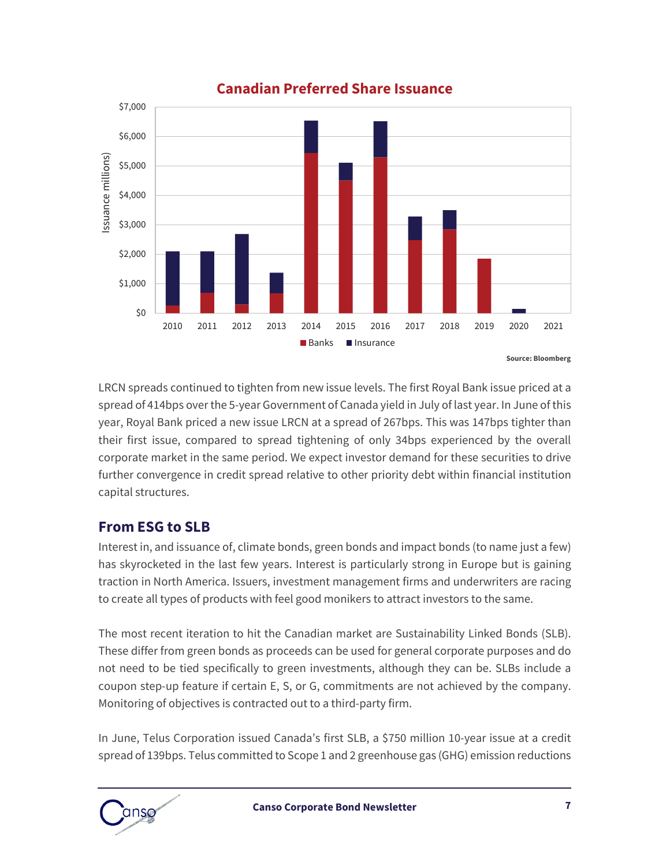

**Canadian Preferred Share Issuance**

LRCN spreads continued to tighten from new issue levels. The first Royal Bank issue priced at a spread of 414bps over the 5-year Government of Canada yield in July of last year. In June of this year, Royal Bank priced a new issue LRCN at a spread of 267bps. This was 147bps tighter than their first issue, compared to spread tightening of only 34bps experienced by the overall corporate market in the same period. We expect investor demand for these securities to drive further convergence in credit spread relative to other priority debt within financial institution capital structures.

#### **From ESG to SLB**

Interest in, and issuance of, climate bonds, green bonds and impact bonds (to name just a few) has skyrocketed in the last few years. Interest is particularly strong in Europe but is gaining traction in North America. Issuers, investment management firms and underwriters are racing to create all types of products with feel good monikers to attract investors to the same.

The most recent iteration to hit the Canadian market are Sustainability Linked Bonds (SLB). These differ from green bonds as proceeds can be used for general corporate purposes and do not need to be tied specifically to green investments, although they can be. SLBs include a coupon step-up feature if certain E, S, or G, commitments are not achieved by the company. Monitoring of objectives is contracted out to a third-party firm.

In June, Telus Corporation issued Canada's first SLB, a \$750 million 10-year issue at a credit spread of 139bps. Telus committed to Scope 1 and 2 greenhouse gas (GHG) emission reductions

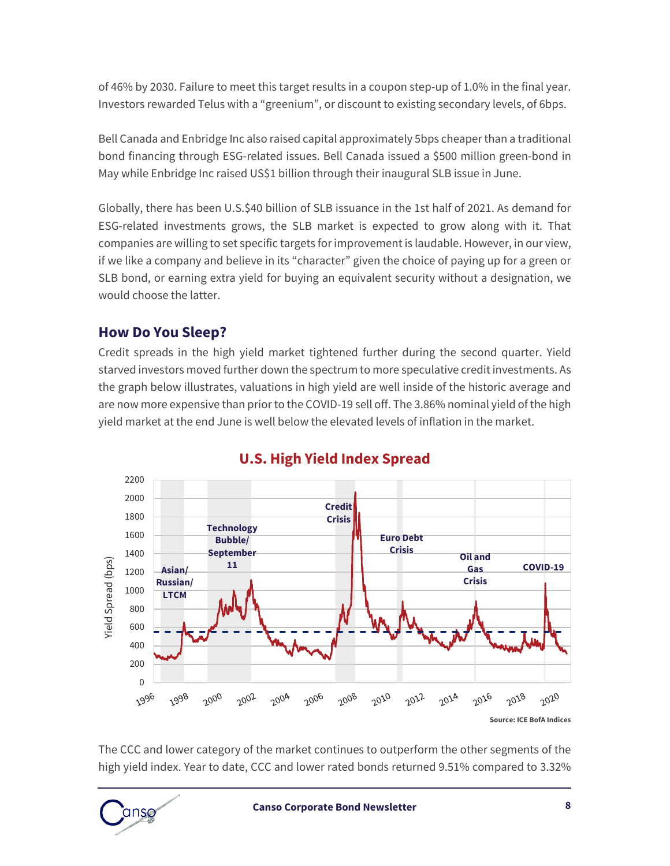of 46% by 2030. Failure to meet this target results in a coupon step-up of 1.0% in the final year. Investors rewarded Telus with a "greenium", or discount to existing secondary levels, of 6bps.

Bell Canada and Enbridge Inc also raised capital approximately 5bps cheaper than a traditional bond financing through ESG-related issues. Bell Canada issued a \$500 million green-bond in May while Enbridge Inc raised US\$1 billion through their inaugural SLB issue in June.

Globally, there has been U.S.\$40 billion of SLB issuance in the 1st half of 2021. As demand for ESG-related investments grows, the SLB market is expected to grow along with it. That companies are willing to set specific targets for improvement is laudable. However, in our view, if we like a company and believe in its "character" given the choice of paying up for a green or SLB bond, or earning extra yield for buying an equivalent security without a designation, we would choose the latter.

#### **How Do You Sleep?**

Credit spreads in the high yield market tightened further during the second quarter. Yield starved investors moved further down the spectrum to more speculative credit investments. As the graph below illustrates, valuations in high yield are well inside of the historic average and are now more expensive than prior to the COVID-19 sell off. The 3.86% nominal yield of the high yield market at the end June is well below the elevated levels of inflation in the market.



#### **U.S. High Yield Index Spread**

The CCC and lower category of the market continues to outperform the other segments of the high yield index. Year to date, CCC and lower rated bonds returned 9.51% compared to 3.32%

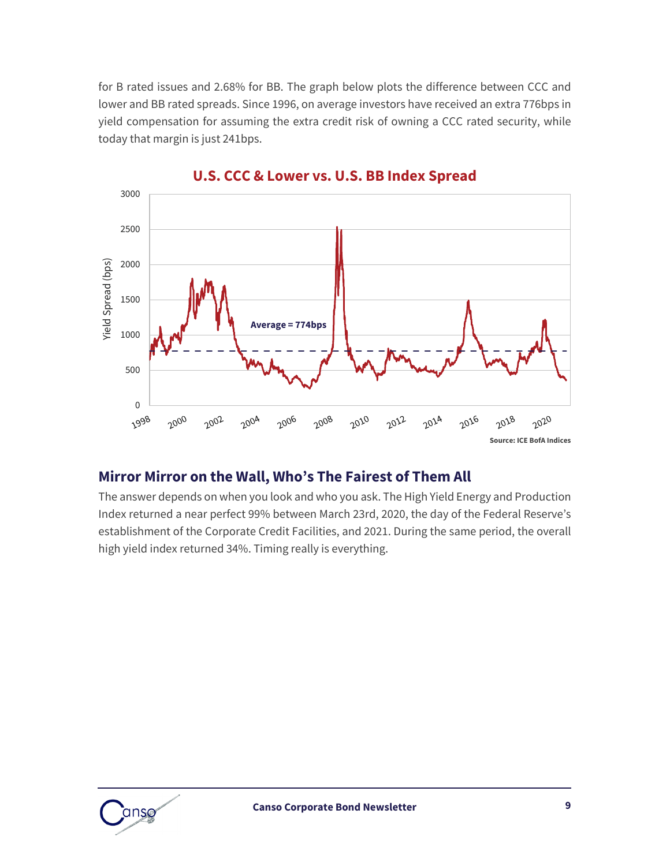for B rated issues and 2.68% for BB. The graph below plots the difference between CCC and lower and BB rated spreads. Since 1996, on average investors have received an extra 776bps in yield compensation for assuming the extra credit risk of owning a CCC rated security, while today that margin is just 241bps.



#### **U.S. CCC & Lower vs. U.S. BB Index Spread**

#### **Mirror Mirror on the Wall, Who's The Fairest of Them All**

The answer depends on when you look and who you ask. The High Yield Energy and Production Index returned a near perfect 99% between March 23rd, 2020, the day of the Federal Reserve's establishment of the Corporate Credit Facilities, and 2021. During the same period, the overall high yield index returned 34%. Timing really is everything.

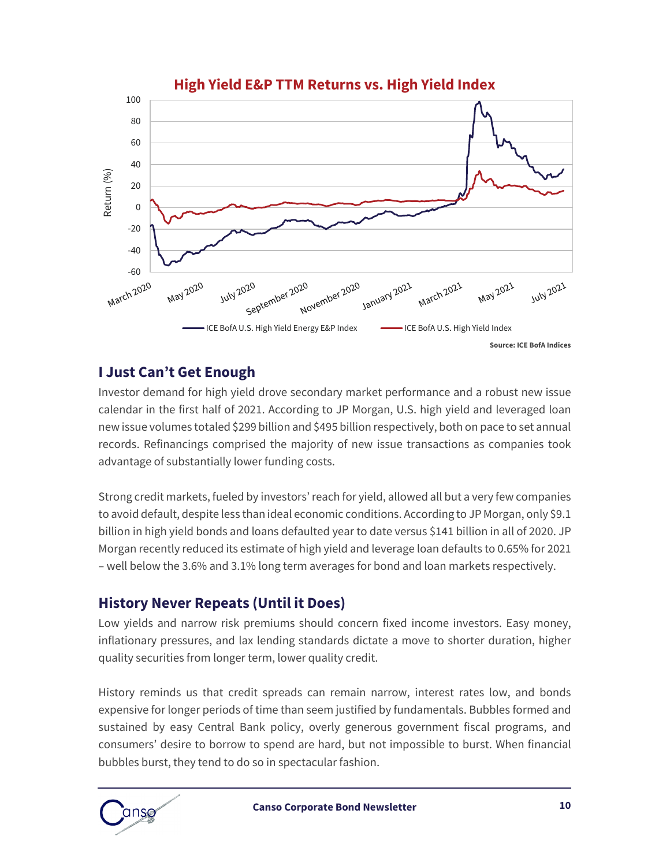

#### **I Just Can't Get Enough**

Investor demand for high yield drove secondary market performance and a robust new issue calendar in the first half of 2021. According to JP Morgan, U.S. high yield and leveraged loan new issue volumes totaled \$299 billion and \$495 billion respectively, both on pace to set annual records. Refinancings comprised the majority of new issue transactions as companies took advantage of substantially lower funding costs.

Strong credit markets, fueled by investors' reach for yield, allowed all but a very few companies to avoid default, despite less than ideal economic conditions. According to JP Morgan, only \$9.1 billion in high yield bonds and loans defaulted year to date versus \$141 billion in all of 2020. JP Morgan recently reduced its estimate of high yield and leverage loan defaults to 0.65% for 2021 – well below the 3.6% and 3.1% long term averages for bond and loan markets respectively.

#### **History Never Repeats (Until it Does)**

Low yields and narrow risk premiums should concern fixed income investors. Easy money, inflationary pressures, and lax lending standards dictate a move to shorter duration, higher quality securities from longer term, lower quality credit.

History reminds us that credit spreads can remain narrow, interest rates low, and bonds expensive for longer periods of time than seem justified by fundamentals. Bubbles formed and sustained by easy Central Bank policy, overly generous government fiscal programs, and consumers' desire to borrow to spend are hard, but not impossible to burst. When financial bubbles burst, they tend to do so in spectacular fashion.

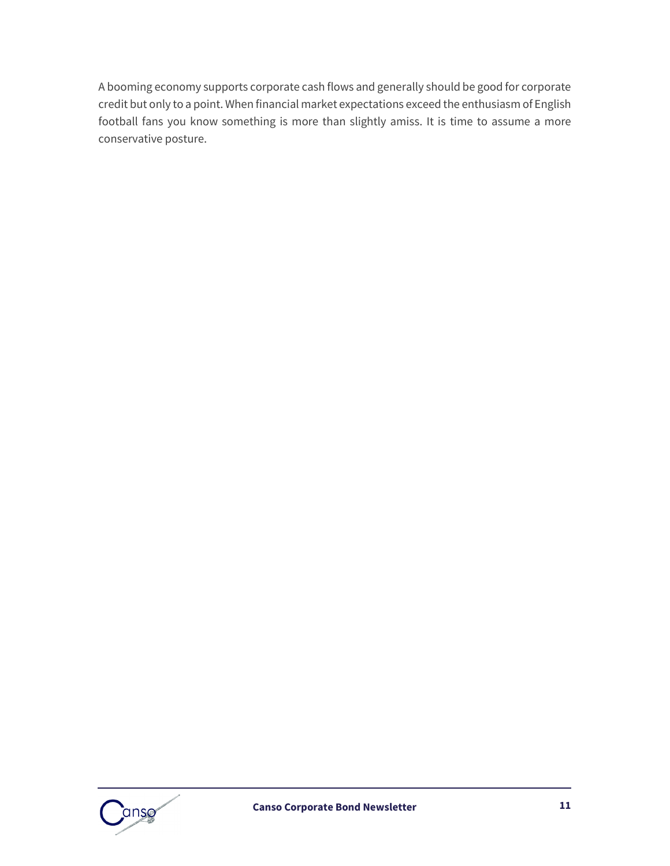A booming economy supports corporate cash flows and generally should be good for corporate credit but only to a point. When financial market expectations exceed the enthusiasm of English football fans you know something is more than slightly amiss. It is time to assume a more conservative posture.

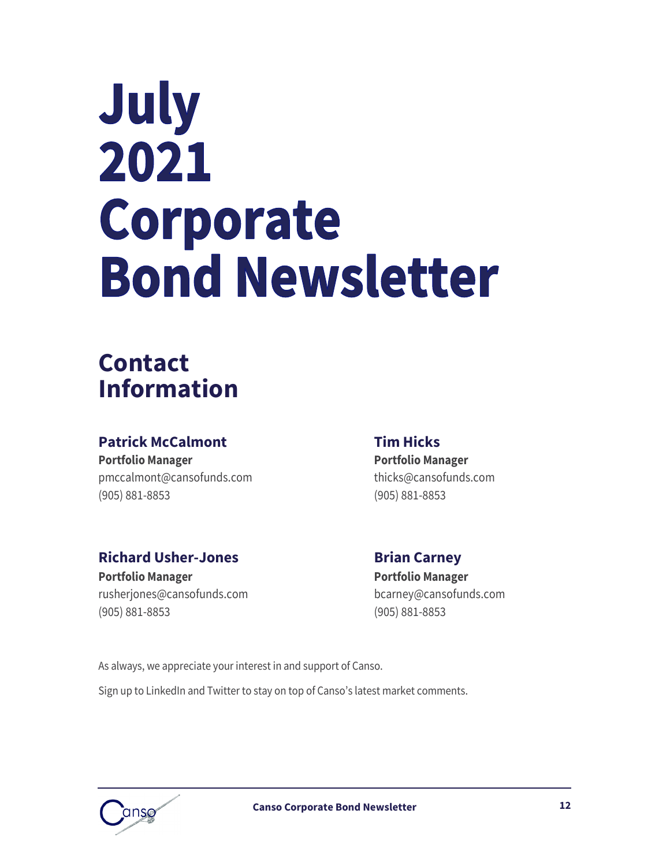# July 2021 Corporate **Bond Newsletter**

## **Contact Information**

### **Patrick McCalmont Tim Hicks Portfolio Manager Portfolio Manager**

[pmccalmont@cansofunds.com](mailto:pmccalmont@cansofunds.com) thicks@cansofunds.com (905) 881-8853 (905) 881-8853

## **Richard Usher-Jones Brian Carney**

[rusherjones@cansofunds.com](mailto:rusherjones@cansofunds.com) bcarney@cansofunds.com (905) 881-8853 (905) 881-8853

**Portfolio Manager Portfolio Manager**

As always, we appreciate your interest in and support of Canso.

Sign up to LinkedIn and Twitter to stay on top of Canso's latest market comments.

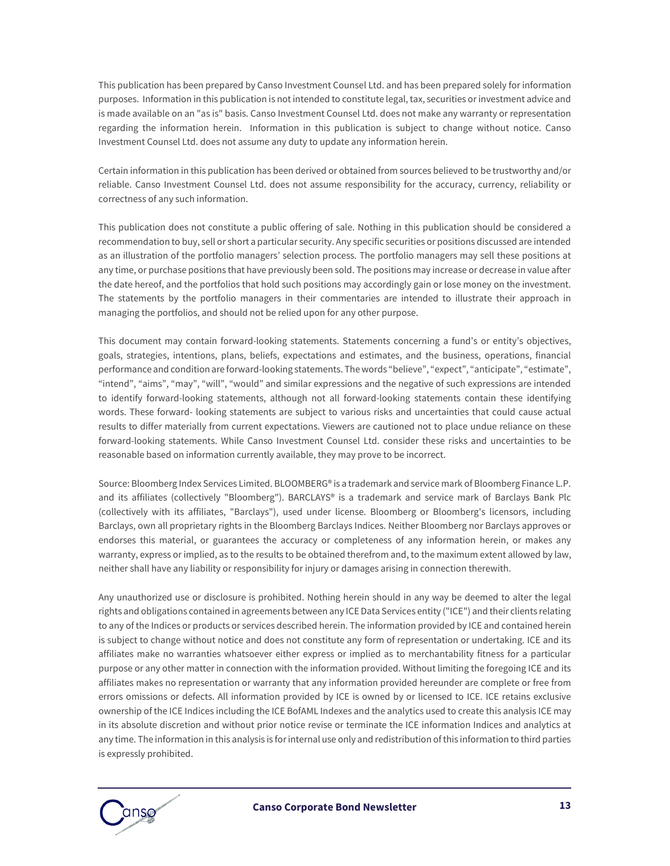This publication has been prepared by Canso Investment Counsel Ltd. and has been prepared solely for information purposes. Information in this publication is not intended to constitute legal, tax, securities or investment advice and is made available on an "as is" basis. Canso Investment Counsel Ltd. does not make any warranty or representation regarding the information herein. Information in this publication is subject to change without notice. Canso Investment Counsel Ltd. does not assume any duty to update any information herein.

Certain information in this publication has been derived or obtained from sources believed to be trustworthy and/or reliable. Canso Investment Counsel Ltd. does not assume responsibility for the accuracy, currency, reliability or correctness of any such information.

This publication does not constitute a public offering of sale. Nothing in this publication should be considered a recommendation to buy, sell or short a particular security. Any specific securities or positions discussed are intended as an illustration of the portfolio managers' selection process. The portfolio managers may sell these positions at any time, or purchase positions that have previously been sold. The positions may increase or decrease in value after the date hereof, and the portfolios that hold such positions may accordingly gain or lose money on the investment. The statements by the portfolio managers in their commentaries are intended to illustrate their approach in managing the portfolios, and should not be relied upon for any other purpose.

This document may contain forward-looking statements. Statements concerning a fund's or entity's objectives, goals, strategies, intentions, plans, beliefs, expectations and estimates, and the business, operations, financial performance and condition are forward-looking statements. The words "believe", "expect", "anticipate", "estimate", "intend", "aims", "may", "will", "would" and similar expressions and the negative of such expressions are intended to identify forward-looking statements, although not all forward-looking statements contain these identifying words. These forward- looking statements are subject to various risks and uncertainties that could cause actual results to differ materially from current expectations. Viewers are cautioned not to place undue reliance on these forward-looking statements. While Canso Investment Counsel Ltd. consider these risks and uncertainties to be reasonable based on information currently available, they may prove to be incorrect.

Source: Bloomberg Index Services Limited. BLOOMBERG® is a trademark and service mark of Bloomberg Finance L.P. and its affiliates (collectively "Bloomberg"). BARCLAYS® is a trademark and service mark of Barclays Bank Plc (collectively with its affiliates, "Barclays"), used under license. Bloomberg or Bloomberg's licensors, including Barclays, own all proprietary rights in the Bloomberg Barclays Indices. Neither Bloomberg nor Barclays approves or endorses this material, or guarantees the accuracy or completeness of any information herein, or makes any warranty, express or implied, as to the results to be obtained therefrom and, to the maximum extent allowed by law, neither shall have any liability or responsibility for injury or damages arising in connection therewith.

Any unauthorized use or disclosure is prohibited. Nothing herein should in any way be deemed to alter the legal rights and obligations contained in agreements between any ICE Data Services entity ("ICE") and their clients relating to any of the Indices or products or services described herein. The information provided by ICE and contained herein is subject to change without notice and does not constitute any form of representation or undertaking. ICE and its affiliates make no warranties whatsoever either express or implied as to merchantability fitness for a particular purpose or any other matter in connection with the information provided. Without limiting the foregoing ICE and its affiliates makes no representation or warranty that any information provided hereunder are complete or free from errors omissions or defects. All information provided by ICE is owned by or licensed to ICE. ICE retains exclusive ownership of the ICE Indices including the ICE BofAML Indexes and the analytics used to create this analysis ICE may in its absolute discretion and without prior notice revise or terminate the ICE information Indices and analytics at any time. The information in this analysis is for internal use only and redistribution of this information to third parties is expressly prohibited.